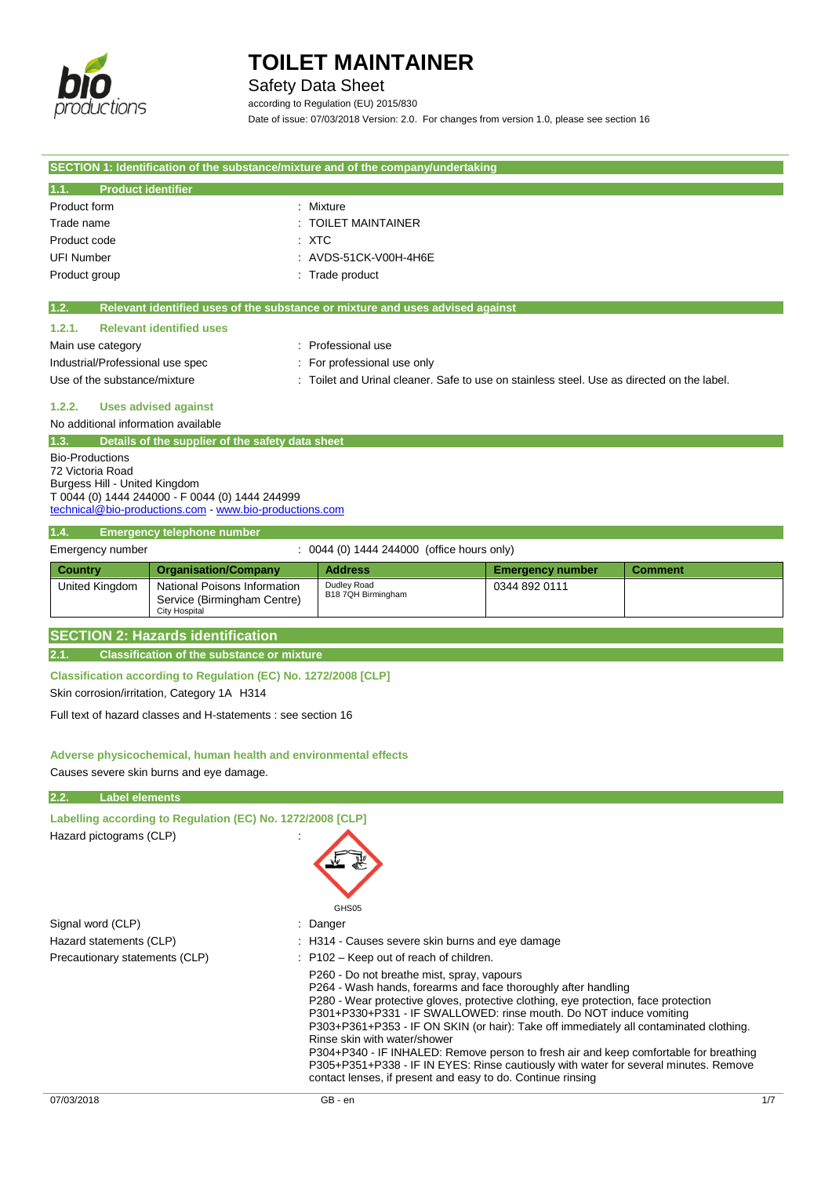

### Safety Data Sheet

according to Regulation (EU) 2015/830 Date of issue: 07/03/2018 Version: 2.0. For changes from version 1.0, please see section 16

| SECTION 1: Identification of the substance/mixture and of the company/undertaking |                                                                                     |                                                                                                                        |                         |                |
|-----------------------------------------------------------------------------------|-------------------------------------------------------------------------------------|------------------------------------------------------------------------------------------------------------------------|-------------------------|----------------|
| <b>Product identifier</b><br>1.1.                                                 |                                                                                     |                                                                                                                        |                         |                |
| Product form                                                                      |                                                                                     | : Mixture                                                                                                              |                         |                |
| Trade name                                                                        |                                                                                     | : TOILET MAINTAINER                                                                                                    |                         |                |
| Product code                                                                      |                                                                                     | : XTC                                                                                                                  |                         |                |
| <b>UFI Number</b>                                                                 |                                                                                     | : AVDS-51CK-V00H-4H6E                                                                                                  |                         |                |
| Product group                                                                     |                                                                                     | : Trade product                                                                                                        |                         |                |
|                                                                                   |                                                                                     |                                                                                                                        |                         |                |
| 1.2.                                                                              |                                                                                     | Relevant identified uses of the substance or mixture and uses advised against                                          |                         |                |
| 1.2.1.                                                                            | <b>Relevant identified uses</b>                                                     |                                                                                                                        |                         |                |
| Main use category                                                                 |                                                                                     | : Professional use                                                                                                     |                         |                |
| Industrial/Professional use spec                                                  |                                                                                     | : For professional use only                                                                                            |                         |                |
| Use of the substance/mixture                                                      |                                                                                     | : Toilet and Urinal cleaner. Safe to use on stainless steel. Use as directed on the label.                             |                         |                |
| 1.2.2.                                                                            | <b>Uses advised against</b>                                                         |                                                                                                                        |                         |                |
| No additional information available                                               |                                                                                     |                                                                                                                        |                         |                |
| 1.3.                                                                              | Details of the supplier of the safety data sheet                                    |                                                                                                                        |                         |                |
| <b>Bio-Productions</b>                                                            |                                                                                     |                                                                                                                        |                         |                |
| 72 Victoria Road<br>Burgess Hill - United Kingdom                                 |                                                                                     |                                                                                                                        |                         |                |
|                                                                                   | T 0044 (0) 1444 244000 - F 0044 (0) 1444 244999                                     |                                                                                                                        |                         |                |
|                                                                                   | technical@bio-productions.com - www.bio-productions.com                             |                                                                                                                        |                         |                |
| 1.4.                                                                              | <b>Emergency telephone number</b>                                                   |                                                                                                                        |                         |                |
| Emergency number                                                                  |                                                                                     | : 0044 (0) 1444 244000 (office hours only)                                                                             |                         |                |
| <b>Country</b>                                                                    | <b>Organisation/Company</b>                                                         | <b>Address</b>                                                                                                         | <b>Emergency number</b> | <b>Comment</b> |
| United Kingdom                                                                    | National Poisons Information                                                        | Dudley Road                                                                                                            | 0344 892 0111           |                |
|                                                                                   | Service (Birmingham Centre)                                                         | B18 7QH Birmingham                                                                                                     |                         |                |
|                                                                                   | <b>City Hospital</b>                                                                |                                                                                                                        |                         |                |
|                                                                                   | <b>SECTION 2: Hazards identification</b>                                            |                                                                                                                        |                         |                |
| 2.1.                                                                              | <b>Classification of the substance or mixture</b>                                   |                                                                                                                        |                         |                |
|                                                                                   | Classification according to Regulation (EC) No. 1272/2008 [CLP]                     |                                                                                                                        |                         |                |
|                                                                                   | Skin corrosion/irritation, Category 1A H314                                         |                                                                                                                        |                         |                |
|                                                                                   |                                                                                     |                                                                                                                        |                         |                |
|                                                                                   | Full text of hazard classes and H-statements : see section 16                       |                                                                                                                        |                         |                |
|                                                                                   |                                                                                     |                                                                                                                        |                         |                |
|                                                                                   | Adverse physicochemical, human health and environmental effects                     |                                                                                                                        |                         |                |
|                                                                                   | Causes severe skin burns and eye damage.                                            |                                                                                                                        |                         |                |
| <b>Label elements</b><br>2.2.                                                     |                                                                                     |                                                                                                                        |                         |                |
|                                                                                   | Labelling according to Regulation (EC) No. 1272/2008 [CLP]                          |                                                                                                                        |                         |                |
| Hazard pictograms (CLP)                                                           |                                                                                     |                                                                                                                        |                         |                |
|                                                                                   |                                                                                     |                                                                                                                        |                         |                |
|                                                                                   |                                                                                     |                                                                                                                        |                         |                |
|                                                                                   |                                                                                     |                                                                                                                        |                         |                |
|                                                                                   |                                                                                     |                                                                                                                        |                         |                |
|                                                                                   |                                                                                     | GHS05                                                                                                                  |                         |                |
| Signal word (CLP)                                                                 |                                                                                     | Danger                                                                                                                 |                         |                |
| Hazard statements (CLP)                                                           |                                                                                     | H314 - Causes severe skin burns and eye damage                                                                         |                         |                |
| Precautionary statements (CLP)                                                    |                                                                                     | $:$ P102 – Keep out of reach of children.                                                                              |                         |                |
|                                                                                   |                                                                                     | P260 - Do not breathe mist, spray, vapours<br>P264 - Wash hands, forearms and face thoroughly after handling           |                         |                |
|                                                                                   | P280 - Wear protective gloves, protective clothing, eye protection, face protection |                                                                                                                        |                         |                |
|                                                                                   |                                                                                     | P301+P330+P331 - IF SWALLOWED: rinse mouth. Do NOT induce vomiting                                                     |                         |                |
|                                                                                   |                                                                                     | P303+P361+P353 - IF ON SKIN (or hair): Take off immediately all contaminated clothing.<br>Rinse skin with water/shower |                         |                |

P304+P340 - IF INHALED: Remove person to fresh air and keep comfortable for breathing P305+P351+P338 - IF IN EYES: Rinse cautiously with water for several minutes. Remove

contact lenses, if present and easy to do. Continue rinsing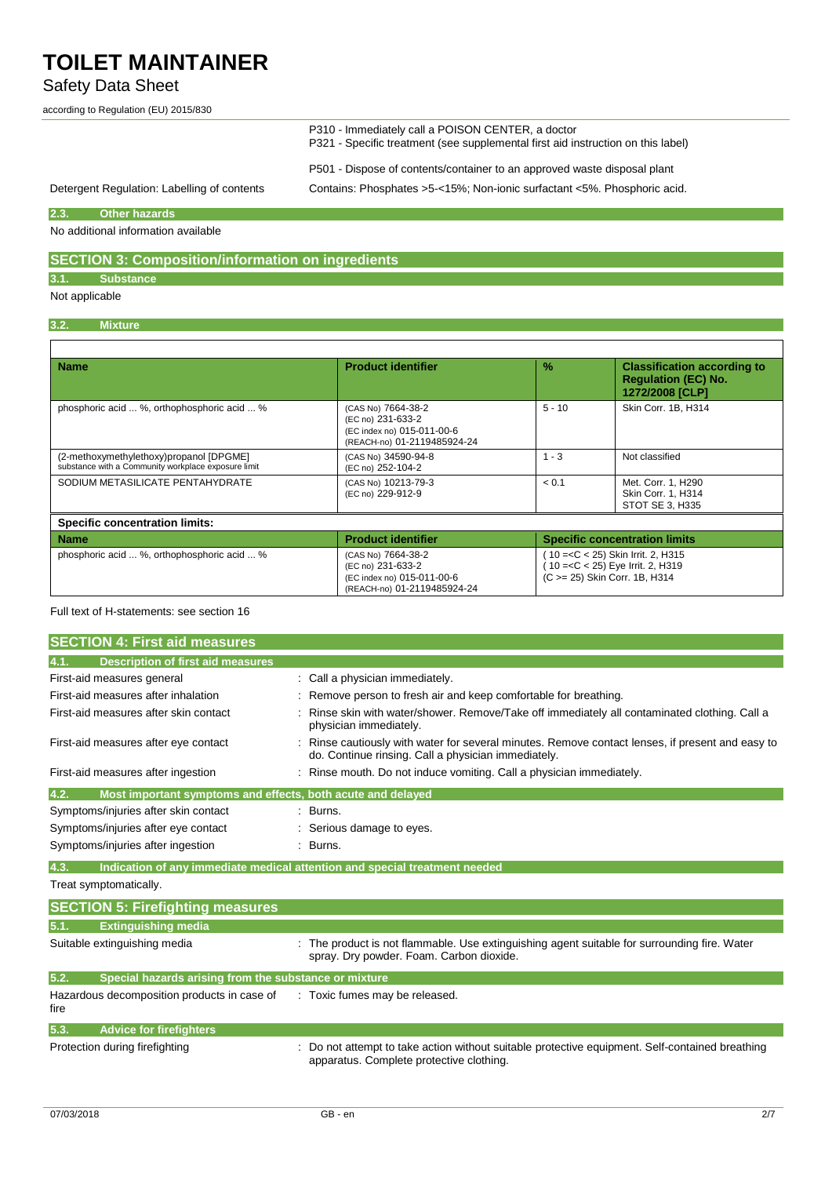### Safety Data Sheet

according to Regulation (EU) 2015/830

|                                             | P310 - Immediately call a POISON CENTER, a doctor<br>P321 - Specific treatment (see supplemental first aid instruction on this label)                |  |
|---------------------------------------------|------------------------------------------------------------------------------------------------------------------------------------------------------|--|
| Detergent Regulation: Labelling of contents | P501 - Dispose of contents/container to an approved waste disposal plant<br>Contains: Phosphates >5-<15%; Non-ionic surfactant <5%. Phosphoric acid. |  |

### **2.3. Other hazards**

No additional information available

### **SECTION 3: Composition/information on ingredients**

### **3.1. Substance**

Not applicable

### **3.2. Mixture**

| <b>Name</b>                                                                                    | <b>Product identifier</b>                                                                            | $\frac{9}{6}$ | <b>Classification according to</b><br><b>Regulation (EC) No.</b><br>1272/2008 [CLP]                           |  |
|------------------------------------------------------------------------------------------------|------------------------------------------------------------------------------------------------------|---------------|---------------------------------------------------------------------------------------------------------------|--|
| phosphoric acid  %, orthophosphoric acid  %                                                    | (CAS No) 7664-38-2<br>(EC no) 231-633-2<br>(EC index no) 015-011-00-6<br>(REACH-no) 01-2119485924-24 | $5 - 10$      | Skin Corr. 1B, H314                                                                                           |  |
| (2-methoxymethylethoxy)propanol [DPGME]<br>substance with a Community workplace exposure limit | (CAS No) 34590-94-8<br>(EC no) 252-104-2                                                             | $1 - 3$       | Not classified                                                                                                |  |
| SODIUM METASILICATE PENTAHYDRATE                                                               | (CAS No) 10213-79-3<br>(EC no) 229-912-9                                                             | < 0.1         | Met. Corr. 1, H290<br>Skin Corr. 1, H314<br>STOT SE 3. H335                                                   |  |
| <b>Specific concentration limits:</b>                                                          |                                                                                                      |               |                                                                                                               |  |
| <b>Name</b>                                                                                    | <b>Product identifier</b>                                                                            |               | <b>Specific concentration limits</b>                                                                          |  |
| phosphoric acid  %, orthophosphoric acid  %                                                    | (CAS No) 7664-38-2<br>(EC no) 231-633-2<br>(EC index no) 015-011-00-6<br>(REACH-no) 01-2119485924-24 |               | $10 = C < 25$ ) Skin Irrit. 2, H315<br>$10 = < C < 25$ ) Eye Irrit. 2, H319<br>(C > = 25) Skin Corr. 1B, H314 |  |

#### Full text of H-statements: see section 16

| <b>SECTION 4: First aid measures</b>                                |                                                                                                                                                       |
|---------------------------------------------------------------------|-------------------------------------------------------------------------------------------------------------------------------------------------------|
| <b>Description of first aid measures</b><br>4.1.                    |                                                                                                                                                       |
| First-aid measures general                                          | : Call a physician immediately.                                                                                                                       |
| First-aid measures after inhalation                                 | Remove person to fresh air and keep comfortable for breathing.                                                                                        |
| First-aid measures after skin contact                               | Rinse skin with water/shower. Remove/Take off immediately all contaminated clothing. Call a<br>physician immediately.                                 |
| First-aid measures after eye contact                                | Rinse cautiously with water for several minutes. Remove contact lenses, if present and easy to<br>do. Continue rinsing. Call a physician immediately. |
| First-aid measures after ingestion                                  | Rinse mouth. Do not induce vomiting. Call a physician immediately.                                                                                    |
| Most important symptoms and effects, both acute and delayed<br>4.2. |                                                                                                                                                       |
| Symptoms/injuries after skin contact                                | $\therefore$ Burns.                                                                                                                                   |
| Symptoms/injuries after eye contact                                 | : Serious damage to eyes.                                                                                                                             |
| Symptoms/injuries after ingestion                                   | Burns.                                                                                                                                                |
| 4.3.                                                                | Indication of any immediate medical attention and special treatment needed                                                                            |
| Treat symptomatically.                                              |                                                                                                                                                       |
| <b>SECTION 5: Firefighting measures</b>                             |                                                                                                                                                       |
| <b>Extinguishing media</b><br>5.1.                                  |                                                                                                                                                       |
| Suitable extinguishing media                                        | The product is not flammable. Use extinguishing agent suitable for surrounding fire. Water<br>spray. Dry powder. Foam. Carbon dioxide.                |
| 5.2.<br>Special hazards arising from the substance or mixture       |                                                                                                                                                       |
| Hazardous decomposition products in case of<br>fire                 | : Toxic fumes may be released.                                                                                                                        |
| 5.3.<br><b>Advice for firefighters</b>                              |                                                                                                                                                       |
| Protection during firefighting                                      | Do not attempt to take action without suitable protective equipment. Self-contained breathing<br>apparatus. Complete protective clothing.             |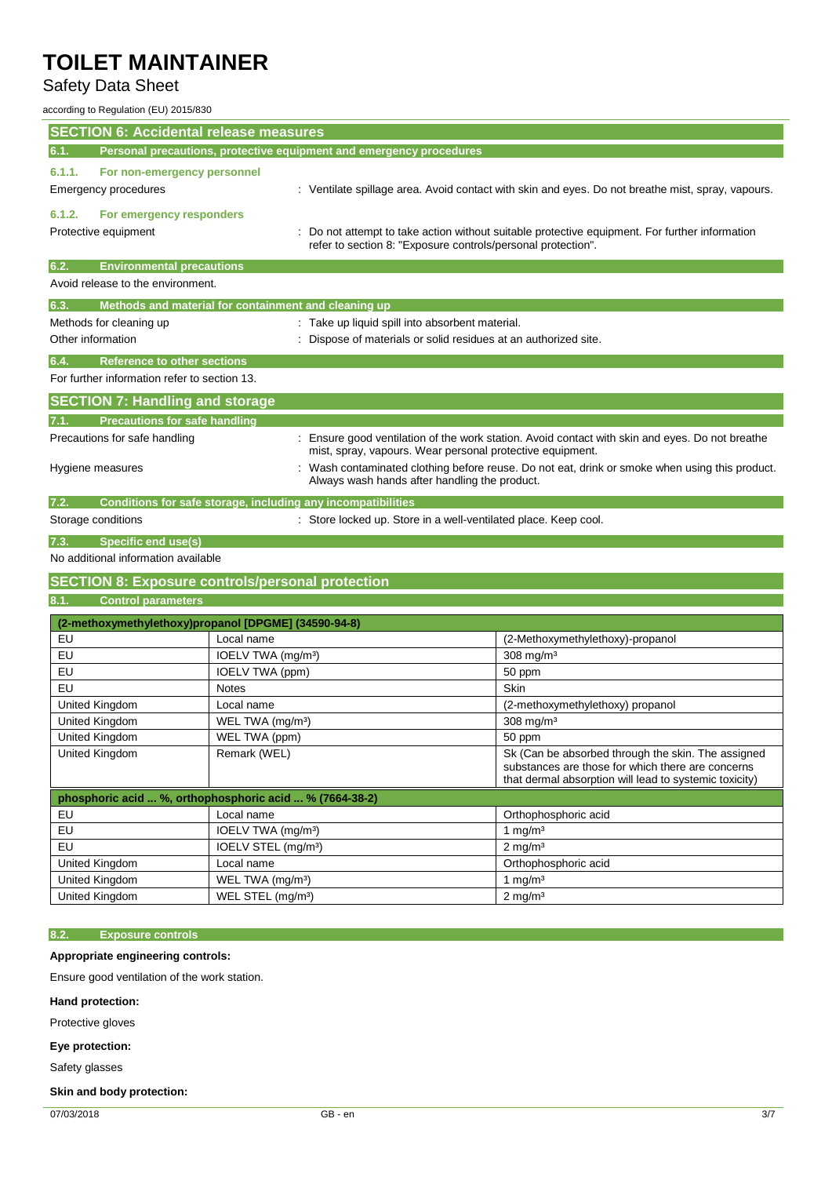### Safety Data Sheet

according to Regulation (EU) 2015/830

| <b>SECTION 6: Accidental release measures</b>                             |                                                                                                                                               |                                                                     |                                                                                                                                                                   |
|---------------------------------------------------------------------------|-----------------------------------------------------------------------------------------------------------------------------------------------|---------------------------------------------------------------------|-------------------------------------------------------------------------------------------------------------------------------------------------------------------|
| 6.1.                                                                      |                                                                                                                                               | Personal precautions, protective equipment and emergency procedures |                                                                                                                                                                   |
| 6.1.1.                                                                    |                                                                                                                                               |                                                                     |                                                                                                                                                                   |
| For non-emergency personnel<br>Emergency procedures                       |                                                                                                                                               |                                                                     | : Ventilate spillage area. Avoid contact with skin and eyes. Do not breathe mist, spray, vapours.                                                                 |
| 6.1.2.<br>For emergency responders                                        |                                                                                                                                               |                                                                     |                                                                                                                                                                   |
| Protective equipment                                                      |                                                                                                                                               | refer to section 8: "Exposure controls/personal protection".        | Do not attempt to take action without suitable protective equipment. For further information                                                                      |
| 6.2.<br><b>Environmental precautions</b>                                  |                                                                                                                                               |                                                                     |                                                                                                                                                                   |
| Avoid release to the environment.                                         |                                                                                                                                               |                                                                     |                                                                                                                                                                   |
| Methods and material for containment and cleaning up<br>6.3.              |                                                                                                                                               |                                                                     |                                                                                                                                                                   |
| Methods for cleaning up                                                   |                                                                                                                                               | : Take up liquid spill into absorbent material.                     |                                                                                                                                                                   |
| Other information                                                         |                                                                                                                                               | Dispose of materials or solid residues at an authorized site.       |                                                                                                                                                                   |
|                                                                           |                                                                                                                                               |                                                                     |                                                                                                                                                                   |
| <b>Reference to other sections</b><br>6.4.                                |                                                                                                                                               |                                                                     |                                                                                                                                                                   |
| For further information refer to section 13.                              |                                                                                                                                               |                                                                     |                                                                                                                                                                   |
| <b>SECTION 7: Handling and storage</b>                                    |                                                                                                                                               |                                                                     |                                                                                                                                                                   |
| <b>Precautions for safe handling</b><br>7.1.                              |                                                                                                                                               |                                                                     |                                                                                                                                                                   |
| Precautions for safe handling                                             |                                                                                                                                               | mist, spray, vapours. Wear personal protective equipment.           | Ensure good ventilation of the work station. Avoid contact with skin and eyes. Do not breathe                                                                     |
| Hygiene measures                                                          | Wash contaminated clothing before reuse. Do not eat, drink or smoke when using this product.<br>Always wash hands after handling the product. |                                                                     |                                                                                                                                                                   |
| Conditions for safe storage, including any incompatibilities<br>7.2.      |                                                                                                                                               |                                                                     |                                                                                                                                                                   |
| Storage conditions                                                        |                                                                                                                                               | : Store locked up. Store in a well-ventilated place. Keep cool.     |                                                                                                                                                                   |
|                                                                           |                                                                                                                                               |                                                                     |                                                                                                                                                                   |
| <b>Specific end use(s)</b><br>7.3.<br>No additional information available |                                                                                                                                               |                                                                     |                                                                                                                                                                   |
|                                                                           |                                                                                                                                               |                                                                     |                                                                                                                                                                   |
| <b>SECTION 8: Exposure controls/personal protection</b>                   |                                                                                                                                               |                                                                     |                                                                                                                                                                   |
| 8.1.<br><b>Control parameters</b>                                         |                                                                                                                                               |                                                                     |                                                                                                                                                                   |
| (2-methoxymethylethoxy)propanol [DPGME] (34590-94-8)                      |                                                                                                                                               |                                                                     |                                                                                                                                                                   |
| EU                                                                        | Local name                                                                                                                                    |                                                                     | (2-Methoxymethylethoxy)-propanol                                                                                                                                  |
| EU                                                                        | IOELV TWA (mg/m <sup>3</sup> )                                                                                                                |                                                                     | $308$ mg/m <sup>3</sup>                                                                                                                                           |
| EU                                                                        | IOELV TWA (ppm)                                                                                                                               |                                                                     | 50 ppm                                                                                                                                                            |
| EU                                                                        | <b>Notes</b>                                                                                                                                  |                                                                     | Skin                                                                                                                                                              |
| United Kingdom                                                            | Local name                                                                                                                                    |                                                                     | (2-methoxymethylethoxy) propanol                                                                                                                                  |
| United Kingdom                                                            | WEL TWA (mg/m <sup>3</sup> )                                                                                                                  |                                                                     | $308$ mg/m <sup>3</sup>                                                                                                                                           |
| United Kingdom                                                            | WEL TWA (ppm)                                                                                                                                 |                                                                     | 50 ppm                                                                                                                                                            |
| United Kingdom                                                            | Remark (WEL)                                                                                                                                  |                                                                     | Sk (Can be absorbed through the skin. The assigned<br>substances are those for which there are concerns<br>that dermal absorption will lead to systemic toxicity) |
| phosphoric acid  %, orthophosphoric acid  % (7664-38-2)                   |                                                                                                                                               |                                                                     |                                                                                                                                                                   |
| EU                                                                        | Local name                                                                                                                                    |                                                                     | Orthophosphoric acid                                                                                                                                              |
| EU                                                                        | IOELV TWA (mg/m <sup>3</sup> )                                                                                                                |                                                                     | 1 mg/m <sup>3</sup>                                                                                                                                               |
| EU                                                                        | IOELV STEL (mg/m <sup>3</sup> )                                                                                                               |                                                                     | $2$ mg/m <sup>3</sup>                                                                                                                                             |
| United Kingdom                                                            | Local name                                                                                                                                    |                                                                     | Orthophosphoric acid                                                                                                                                              |
| United Kingdom                                                            | WEL TWA (mg/m <sup>3</sup> )                                                                                                                  |                                                                     | 1 mg/m $3$                                                                                                                                                        |
| United Kingdom                                                            | WEL STEL (mg/m <sup>3</sup> )                                                                                                                 |                                                                     | $2$ mg/m <sup>3</sup>                                                                                                                                             |

### **8.2. Exposure controls**

**Appropriate engineering controls:**

Ensure good ventilation of the work station.

**Hand protection:**

Protective gloves

**Eye protection:**

Safety glasses

### **Skin and body protection:**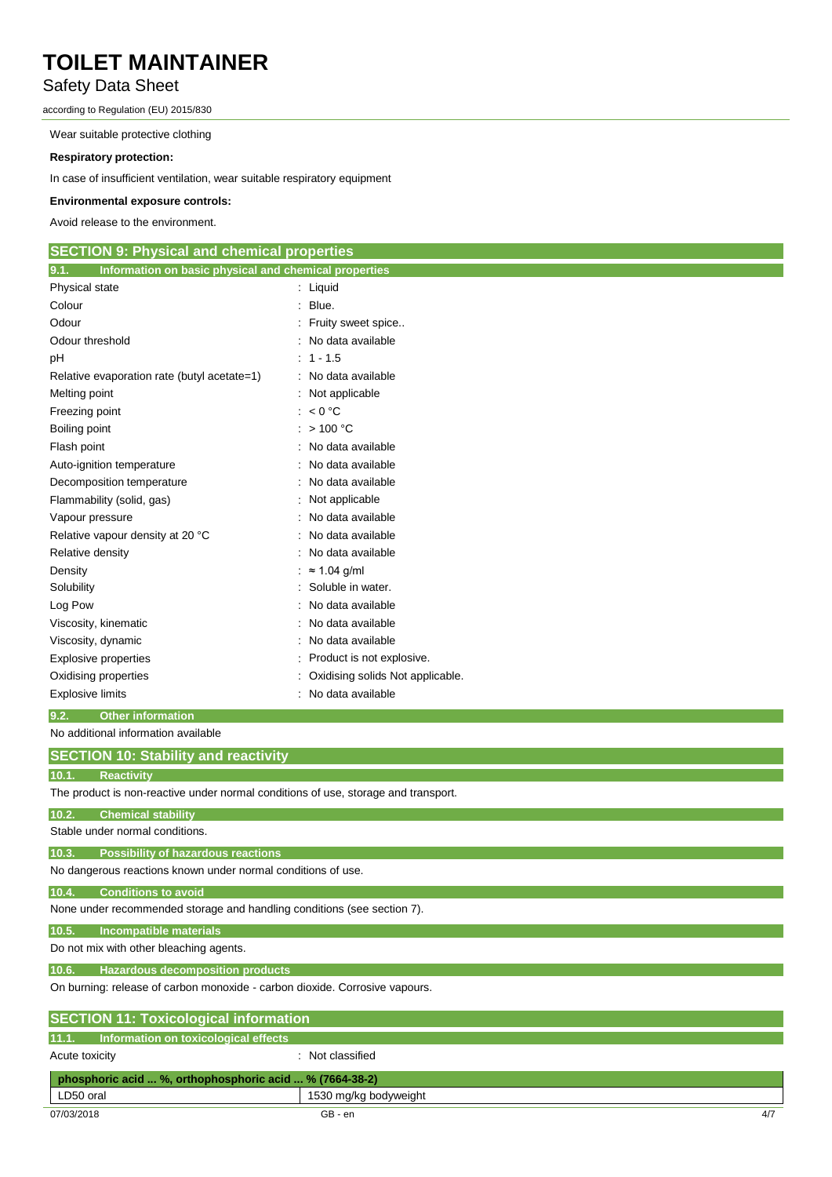## Safety Data Sheet

according to Regulation (EU) 2015/830

Wear suitable protective clothing

#### **Respiratory protection:**

In case of insufficient ventilation, wear suitable respiratory equipment

### **Environmental exposure controls:**

Avoid release to the environment.

| Information on basic physical and chemical properties<br>9.1.    |  |
|------------------------------------------------------------------|--|
|                                                                  |  |
| Physical state<br>: Liquid                                       |  |
| Blue.<br>Colour                                                  |  |
| Odour<br>Fruity sweet spice                                      |  |
| Odour threshold<br>No data available                             |  |
| $1 - 1.5$<br>рH<br>۰.                                            |  |
| Relative evaporation rate (butyl acetate=1)<br>No data available |  |
| Melting point<br>Not applicable                                  |  |
| < 0 °C<br>Freezing point                                         |  |
| : $> 100 °C$<br>Boiling point                                    |  |
| Flash point<br>No data available                                 |  |
| No data available<br>Auto-ignition temperature                   |  |
| Decomposition temperature<br>No data available                   |  |
| Flammability (solid, gas)<br>Not applicable                      |  |
| No data available<br>Vapour pressure                             |  |
| Relative vapour density at 20 °C<br>No data available            |  |
| Relative density<br>No data available                            |  |
| $\approx$ 1.04 g/ml<br>Density                                   |  |
| Soluble in water.<br>Solubility                                  |  |
| Log Pow<br>No data available                                     |  |
| Viscosity, kinematic<br>No data available                        |  |
| Viscosity, dynamic<br>No data available                          |  |
| <b>Explosive properties</b><br>Product is not explosive.         |  |
| Oxidising solids Not applicable.<br>Oxidising properties         |  |
| No data available<br><b>Explosive limits</b><br>٠                |  |

#### **9.2. Other information** No additional information available

| no agunonar imomaton available                                                     |
|------------------------------------------------------------------------------------|
| <b>SECTION 10: Stability and reactivity</b>                                        |
| 10.1.<br><b>Reactivity</b>                                                         |
| The product is non-reactive under normal conditions of use, storage and transport. |
| 10.2.<br><b>Chemical stability</b>                                                 |
| Stable under normal conditions.                                                    |
| <b>Possibility of hazardous reactions</b><br>10.3.                                 |
| No dangerous reactions known under normal conditions of use.                       |
| <b>Conditions to avoid</b><br>10.4.                                                |
| None under recommended storage and handling conditions (see section 7).            |
| <b>Incompatible materials</b><br>10.5.                                             |
| Do not mix with other bleaching agents.                                            |
| <b>Hazardous decomposition products</b><br>10.6.                                   |
| On burning: release of carbon monoxide - carbon dioxide. Corrosive vapours.        |
| <b>SECTION 11: Toxicological information</b>                                       |
| Information on toxicological effects<br>11.1.                                      |
| : Not classified<br>Acute toxicity                                                 |
| phosphoric acid  %, orthophosphoric acid  % (7664-38-2)                            |
| LD50 oral<br>1530 mg/kg bodyweight                                                 |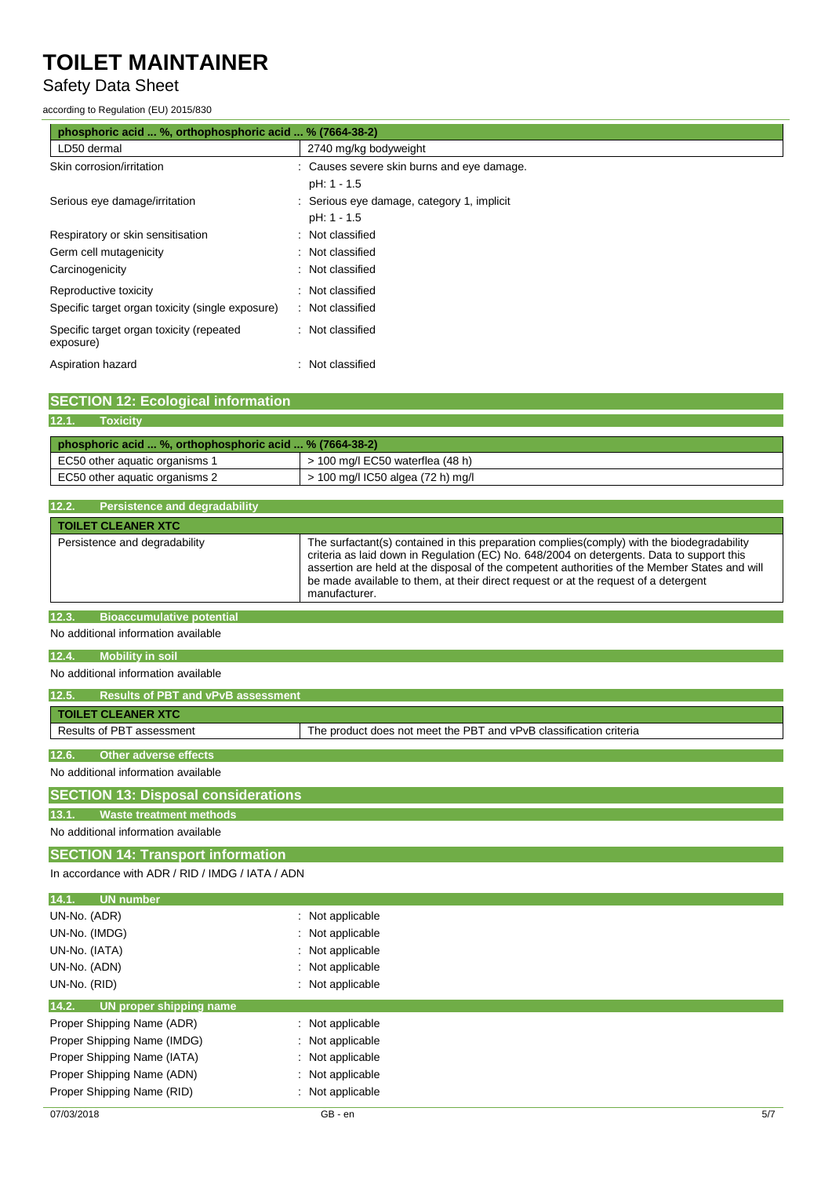### Safety Data Sheet

#### according to Regulation (EU) 2015/830

| phosphoric acid  %, orthophosphoric acid  % (7664-38-2) |                                            |  |
|---------------------------------------------------------|--------------------------------------------|--|
| LD50 dermal                                             | 2740 mg/kg bodyweight                      |  |
| Skin corrosion/irritation                               | : Causes severe skin burns and eye damage. |  |
|                                                         | pH: 1 - 1.5                                |  |
| Serious eye damage/irritation                           | Serious eye damage, category 1, implicit   |  |
|                                                         | pH: 1 - 1.5                                |  |
| Respiratory or skin sensitisation                       | Not classified<br>۰                        |  |
| Germ cell mutagenicity                                  | : Not classified                           |  |
| Carcinogenicity                                         | : Not classified                           |  |
| Reproductive toxicity                                   | : Not classified                           |  |
| Specific target organ toxicity (single exposure)        | : Not classified                           |  |
| Specific target organ toxicity (repeated<br>exposure)   | : Not classified                           |  |
| Aspiration hazard                                       | Not classified                             |  |

### **SECTION 12: Ecological information**

### **12.1. Toxicity**

| phosphoric acid  %, orthophosphoric acid  % (7664-38-2) |                                    |  |
|---------------------------------------------------------|------------------------------------|--|
| EC50 other aquatic organisms 1                          | $>$ 100 mg/l EC50 waterflea (48 h) |  |
| EC50 other aquatic organisms 2                          | > 100 mg/l IC50 algea (72 h) mg/l  |  |

| 12.2.<br><b>Persistence and degradability</b> |                                                                                                                                                                                                                                                                                                                                                                                                   |
|-----------------------------------------------|---------------------------------------------------------------------------------------------------------------------------------------------------------------------------------------------------------------------------------------------------------------------------------------------------------------------------------------------------------------------------------------------------|
| <b>TOILET CLEANER XTC</b>                     |                                                                                                                                                                                                                                                                                                                                                                                                   |
| Persistence and degradability                 | The surfactant(s) contained in this preparation complies (comply) with the biodegradability<br>criteria as laid down in Regulation (EC) No. 648/2004 on detergents. Data to support this<br>assertion are held at the disposal of the competent authorities of the Member States and will<br>be made available to them, at their direct request or at the request of a detergent<br>manufacturer. |
| 12.3.<br><b>Bioaccumulative potential</b>     |                                                                                                                                                                                                                                                                                                                                                                                                   |
| No additional information available           |                                                                                                                                                                                                                                                                                                                                                                                                   |

### **12.4. Mobility in soil**

### No additional information available

| 12.5. | <b>Results of PBT and vPvB assessment</b> |                                                                    |
|-------|-------------------------------------------|--------------------------------------------------------------------|
|       | <b>TOILET CLEANER XTC</b>                 |                                                                    |
|       | Results of PBT assessment                 | The product does not meet the PBT and vPvB classification criteria |
|       |                                           |                                                                    |
| 12.6. | Other adverse effects                     |                                                                    |
|       | No additional information available       |                                                                    |

### **SECTION 13: Disposal considerations**

#### **13.1. Waste treatment methods**

No additional information available

**SECTION 14: Transport information** In accordance with ADR / RID / IMDG / IATA / ADN

### **14.1. UN number** UN-No. (ADR) : Not applicable UN-No. (IMDG) : Not applicable UN-No. (IATA) : Not applicable UN-No. (ADN) in the contract of the contract of the contract of the contract of the contract of the contract of the contract of the contract of the contract of the contract of the contract of the contract of the contract o UN-No. (RID) : Not applicable **14.2. UN proper shipping name** Proper Shipping Name (ADR) : Not applicable Proper Shipping Name (IMDG) : Not applicable Proper Shipping Name (IATA) : Not applicable Proper Shipping Name (ADN) : Not applicable Proper Shipping Name (RID) : Not applicable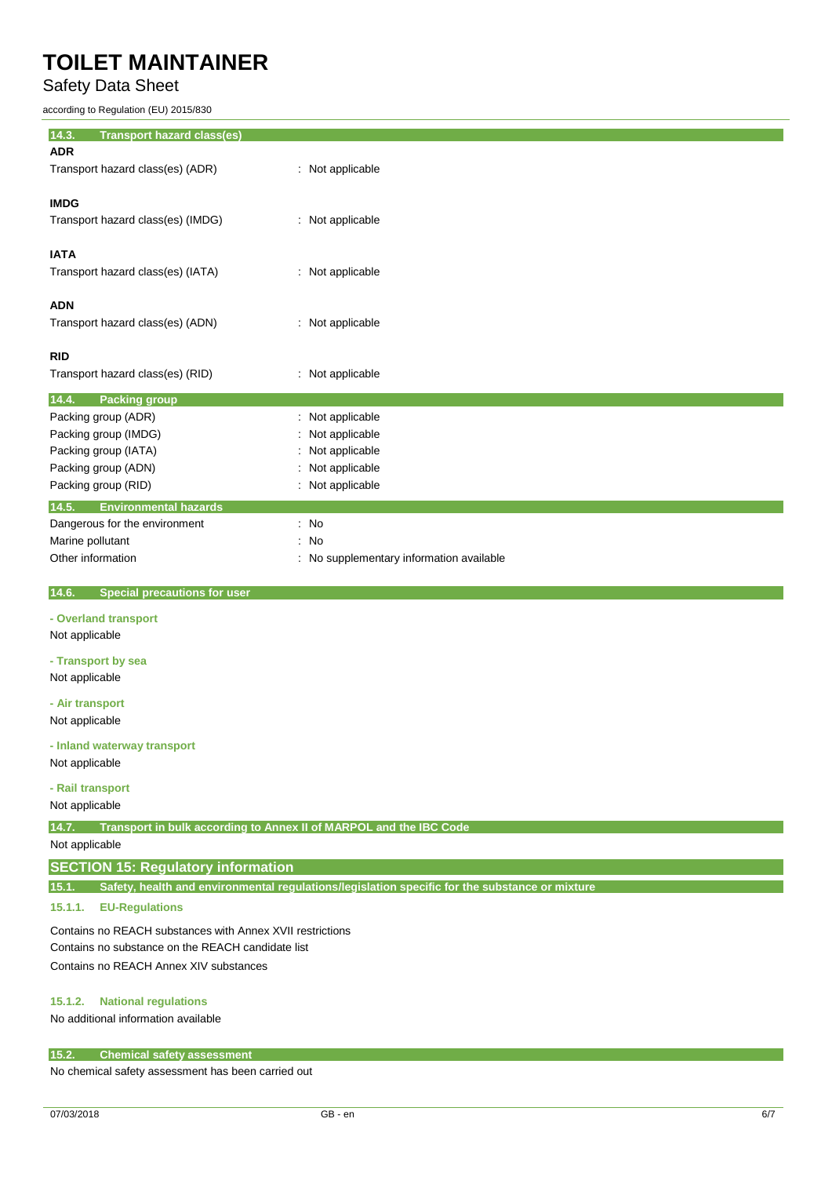Safety Data Sheet

according to Regulation (EU) 2015/830

**14.3. Transport hazard class(es) ADR** Transport hazard class(es) (ADR) : Not applicable **IMDG** Transport hazard class(es) (IMDG) : Not applicable **IATA** Transport hazard class(es) (IATA) : Not applicable **ADN** Transport hazard class(es) (ADN) : Not applicable **RID** Transport hazard class(es) (RID) : Not applicable **14.4. Packing group** Packing group (ADR) : Not applicable Packing group (IMDG) : Not applicable Packing group (IATA) : Not applicable Packing group (ADN) : Not applicable Packing group (RID) **intervalse in the contract of the C** intervalse in the Not applicable **14.5. Environmental hazards** Dangerous for the environment : No Marine pollutant in the set of the set of the set of the set of the set of the set of the set of the set of the set of the set of the set of the set of the set of the set of the set of the set of the set of the set of the Other information **COLOGY COLOGY COLOGY COLOGY COLOGY COLOGY COLOGY COLOGY COLOGY COLOGY COLOGY COLOGY COLOGY COLOGY COLOGY COLOGY COLOGY COLOGY COLOGY COLOGY COLOGY COLOGY COLOG** 

 **14.6. Special precautions for user**

#### **- Overland transport**

Not applicable

**- Transport by sea** Not applicable

**- Air transport**

Not applicable

#### **- Inland waterway transport**

Not applicable

#### **- Rail transport**

Not applicable

**14.7. Transport in bulk according to Annex II of MARPOL and the IBC Code**

Not applicable

### **SECTION 15: Regulatory information**

**15.1. Safety, health and environmental regulations/legislation specific for the substance or mixture**

#### **15.1.1. EU-Regulations**

Contains no REACH substances with Annex XVII restrictions Contains no substance on the REACH candidate list Contains no REACH Annex XIV substances

### **15.1.2. National regulations**

No additional information available

#### **15.2. Chemical safety assessment**

No chemical safety assessment has been carried out